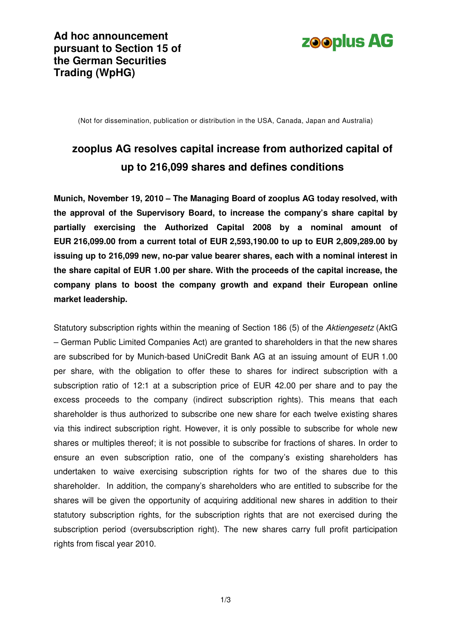

(Not for dissemination, publication or distribution in the USA, Canada, Japan and Australia)

# **zooplus AG resolves capital increase from authorized capital of up to 216,099 shares and defines conditions**

**Munich, November 19, 2010 – The Managing Board of zooplus AG today resolved, with the approval of the Supervisory Board, to increase the company's share capital by partially exercising the Authorized Capital 2008 by a nominal amount of EUR 216,099.00 from a current total of EUR 2,593,190.00 to up to EUR 2,809,289.00 by issuing up to 216,099 new, no-par value bearer shares, each with a nominal interest in the share capital of EUR 1.00 per share. With the proceeds of the capital increase, the company plans to boost the company growth and expand their European online market leadership.** 

Statutory subscription rights within the meaning of Section 186 (5) of the Aktiengesetz (AktG – German Public Limited Companies Act) are granted to shareholders in that the new shares are subscribed for by Munich-based UniCredit Bank AG at an issuing amount of EUR 1.00 per share, with the obligation to offer these to shares for indirect subscription with a subscription ratio of 12:1 at a subscription price of EUR 42.00 per share and to pay the excess proceeds to the company (indirect subscription rights). This means that each shareholder is thus authorized to subscribe one new share for each twelve existing shares via this indirect subscription right. However, it is only possible to subscribe for whole new shares or multiples thereof; it is not possible to subscribe for fractions of shares. In order to ensure an even subscription ratio, one of the company's existing shareholders has undertaken to waive exercising subscription rights for two of the shares due to this shareholder. In addition, the company's shareholders who are entitled to subscribe for the shares will be given the opportunity of acquiring additional new shares in addition to their statutory subscription rights, for the subscription rights that are not exercised during the subscription period (oversubscription right). The new shares carry full profit participation rights from fiscal year 2010.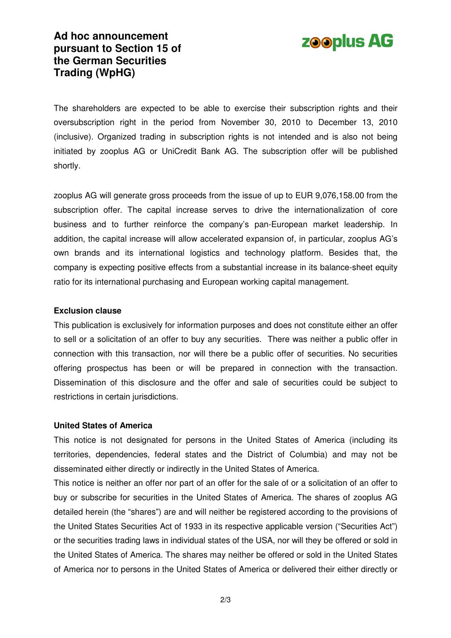



The shareholders are expected to be able to exercise their subscription rights and their oversubscription right in the period from November 30, 2010 to December 13, 2010 (inclusive). Organized trading in subscription rights is not intended and is also not being initiated by zooplus AG or UniCredit Bank AG. The subscription offer will be published shortly.

zooplus AG will generate gross proceeds from the issue of up to EUR 9,076,158.00 from the subscription offer. The capital increase serves to drive the internationalization of core business and to further reinforce the company's pan-European market leadership. In addition, the capital increase will allow accelerated expansion of, in particular, zooplus AG's own brands and its international logistics and technology platform. Besides that, the company is expecting positive effects from a substantial increase in its balance-sheet equity ratio for its international purchasing and European working capital management.

#### **Exclusion clause**

This publication is exclusively for information purposes and does not constitute either an offer to sell or a solicitation of an offer to buy any securities. There was neither a public offer in connection with this transaction, nor will there be a public offer of securities. No securities offering prospectus has been or will be prepared in connection with the transaction. Dissemination of this disclosure and the offer and sale of securities could be subject to restrictions in certain jurisdictions.

#### **United States of America**

This notice is not designated for persons in the United States of America (including its territories, dependencies, federal states and the District of Columbia) and may not be disseminated either directly or indirectly in the United States of America.

This notice is neither an offer nor part of an offer for the sale of or a solicitation of an offer to buy or subscribe for securities in the United States of America. The shares of zooplus AG detailed herein (the "shares") are and will neither be registered according to the provisions of the United States Securities Act of 1933 in its respective applicable version ("Securities Act") or the securities trading laws in individual states of the USA, nor will they be offered or sold in the United States of America. The shares may neither be offered or sold in the United States of America nor to persons in the United States of America or delivered their either directly or